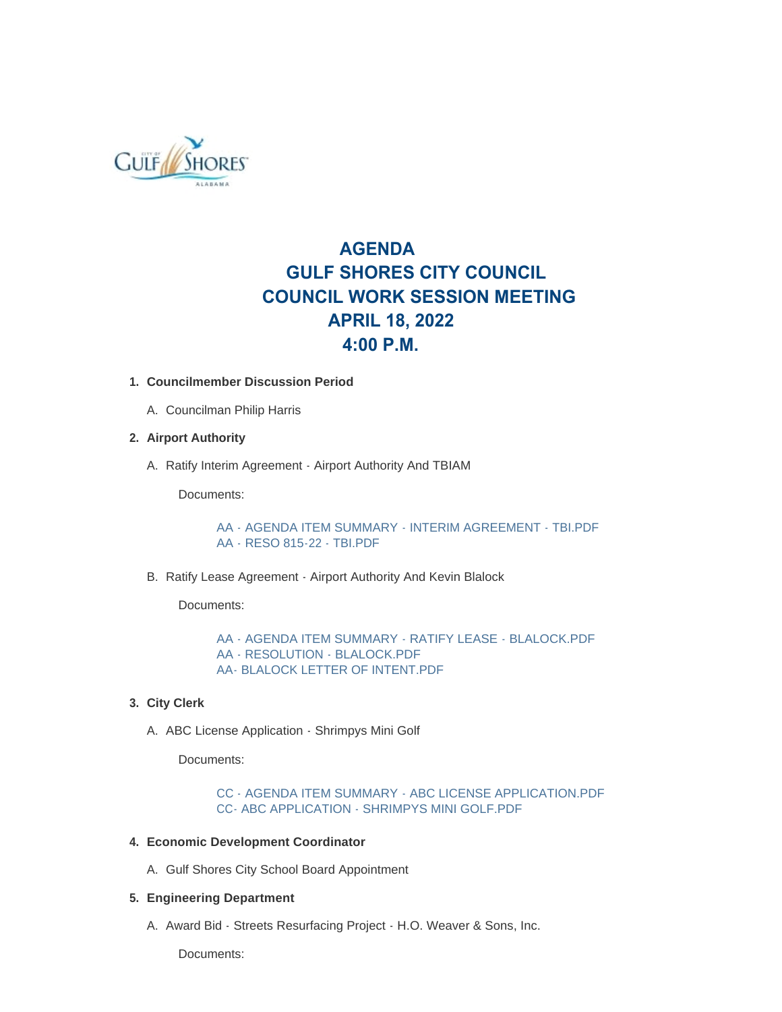

# **AGENDA GULF SHORES CITY COUNCIL COUNCIL WORK SESSION MEETING APRIL 18, 2022 4:00 P.M.**

# **Councilmember Discussion Period 1.**

A. Councilman Philip Harris

# **Airport Authority 2.**

A. Ratify Interim Agreement - Airport Authority And TBIAM

Documents:

[AA - AGENDA ITEM SUMMARY - INTERIM AGREEMENT - TBI.PDF](https://www.gulfshoresal.gov/AgendaCenter/ViewFile/Item/10007?fileID=21726) [AA - RESO 815-22 - TBI.PDF](https://www.gulfshoresal.gov/AgendaCenter/ViewFile/Item/10007?fileID=21727)

B. Ratify Lease Agreement - Airport Authority And Kevin Blalock

Documents:

[AA - AGENDA ITEM SUMMARY - RATIFY LEASE - BLALOCK.PDF](https://www.gulfshoresal.gov/AgendaCenter/ViewFile/Item/10008?fileID=21728) [AA - RESOLUTION - BLALOCK.PDF](https://www.gulfshoresal.gov/AgendaCenter/ViewFile/Item/10008?fileID=21729) [AA- BLALOCK LETTER OF INTENT.PDF](https://www.gulfshoresal.gov/AgendaCenter/ViewFile/Item/10008?fileID=21730)

- **City Clerk 3.**
	- A. ABC License Application Shrimpys Mini Golf

Documents:

[CC - AGENDA ITEM SUMMARY - ABC LICENSE APPLICATION.PDF](https://www.gulfshoresal.gov/AgendaCenter/ViewFile/Item/10013?fileID=21739) [CC- ABC APPLICATION - SHRIMPYS MINI GOLF.PDF](https://www.gulfshoresal.gov/AgendaCenter/ViewFile/Item/10013?fileID=21740)

# **Economic Development Coordinator 4.**

A. Gulf Shores City School Board Appointment

# **Engineering Department 5.**

A. Award Bid - Streets Resurfacing Project - H.O. Weaver & Sons, Inc.

Documents: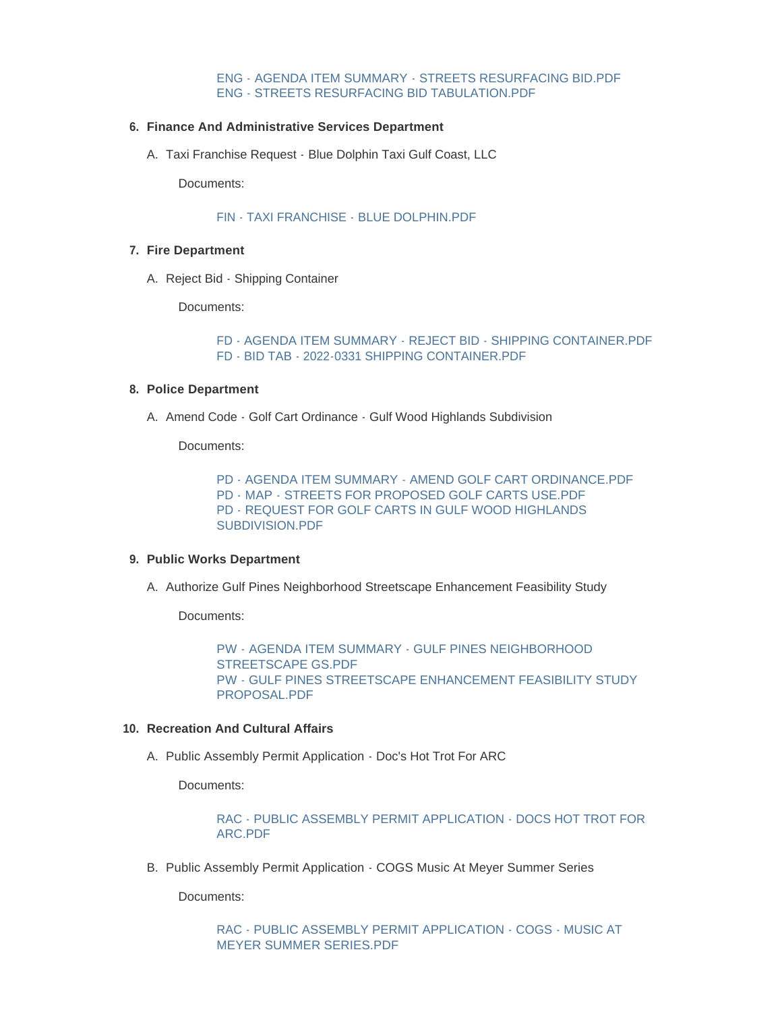# [ENG - AGENDA ITEM SUMMARY - STREETS RESURFACING BID.PDF](https://www.gulfshoresal.gov/AgendaCenter/ViewFile/Item/10009?fileID=21731) [ENG - STREETS RESURFACING BID TABULATION.PDF](https://www.gulfshoresal.gov/AgendaCenter/ViewFile/Item/10009?fileID=21732)

# **Finance And Administrative Services Department 6.**

A. Taxi Franchise Request - Blue Dolphin Taxi Gulf Coast, LLC

Documents:

# [FIN - TAXI FRANCHISE - BLUE DOLPHIN.PDF](https://www.gulfshoresal.gov/AgendaCenter/ViewFile/Item/10006?fileID=21725)

# **Fire Department 7.**

A. Reject Bid - Shipping Container

Documents:

[FD - AGENDA ITEM SUMMARY - REJECT BID - SHIPPING CONTAINER.PDF](https://www.gulfshoresal.gov/AgendaCenter/ViewFile/Item/10012?fileID=21737) [FD - BID TAB - 2022-0331 SHIPPING CONTAINER.PDF](https://www.gulfshoresal.gov/AgendaCenter/ViewFile/Item/10012?fileID=21738)

#### **Police Department 8.**

A. Amend Code - Golf Cart Ordinance - Gulf Wood Highlands Subdivision

Documents:

[PD - AGENDA ITEM SUMMARY - AMEND GOLF CART ORDINANCE.PDF](https://www.gulfshoresal.gov/AgendaCenter/ViewFile/Item/10011?fileID=21734) [PD - MAP - STREETS FOR PROPOSED GOLF CARTS USE.PDF](https://www.gulfshoresal.gov/AgendaCenter/ViewFile/Item/10011?fileID=21735) [PD - REQUEST FOR GOLF CARTS IN GULF WOOD HIGHLANDS](https://www.gulfshoresal.gov/AgendaCenter/ViewFile/Item/10011?fileID=21736)  SUBDIVISION.PDF

# **Public Works Department 9.**

A. Authorize Gulf Pines Neighborhood Streetscape Enhancement Feasibility Study

Documents:

[PW - AGENDA ITEM SUMMARY - GULF PINES NEIGHBORHOOD](https://www.gulfshoresal.gov/AgendaCenter/ViewFile/Item/10014?fileID=21779)  STREETSCAPE GS.PDF [PW - GULF PINES STREETSCAPE ENHANCEMENT FEASIBILITY STUDY](https://www.gulfshoresal.gov/AgendaCenter/ViewFile/Item/10014?fileID=21766)  PROPOSAL.PDF

### **Recreation And Cultural Affairs 10.**

A. Public Assembly Permit Application - Doc's Hot Trot For ARC

Documents:

[RAC - PUBLIC ASSEMBLY PERMIT APPLICATION - DOCS HOT TROT FOR](https://www.gulfshoresal.gov/AgendaCenter/ViewFile/Item/10004?fileID=21723)  ARC.PDF

B. Public Assembly Permit Application - COGS Music At Meyer Summer Series

Documents:

[RAC - PUBLIC ASSEMBLY PERMIT APPLICATION - COGS - MUSIC AT](https://www.gulfshoresal.gov/AgendaCenter/ViewFile/Item/10002?fileID=21721)  MEYER SUMMER SERIES.PDF